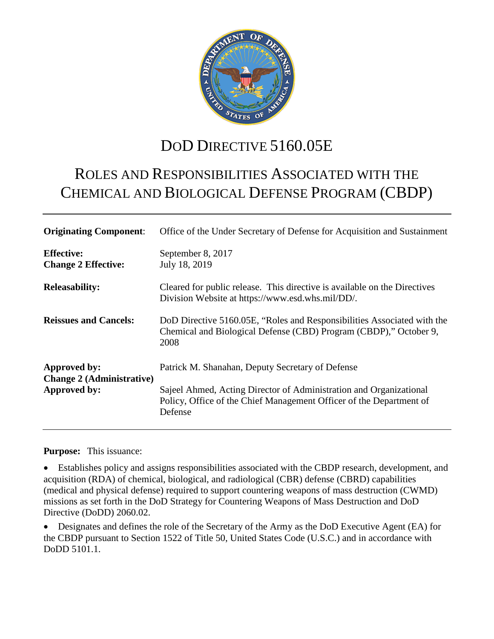

# DOD DIRECTIVE 5160.05E

# ROLES AND RESPONSIBILITIES ASSOCIATED WITH THE CHEMICAL AND BIOLOGICAL DEFENSE PROGRAM (CBDP)

| <b>Originating Component:</b>                                    | Office of the Under Secretary of Defense for Acquisition and Sustainment                                                                             |
|------------------------------------------------------------------|------------------------------------------------------------------------------------------------------------------------------------------------------|
| <b>Effective:</b><br><b>Change 2 Effective:</b>                  | September 8, 2017<br>July 18, 2019                                                                                                                   |
| <b>Releasability:</b>                                            | Cleared for public release. This directive is available on the Directives<br>Division Website at https://www.esd.whs.mil/DD/.                        |
| <b>Reissues and Cancels:</b>                                     | DoD Directive 5160.05E, "Roles and Responsibilities Associated with the<br>Chemical and Biological Defense (CBD) Program (CBDP)," October 9,<br>2008 |
| Approved by:<br><b>Change 2 (Administrative)</b><br>Approved by: | Patrick M. Shanahan, Deputy Secretary of Defense                                                                                                     |
|                                                                  | Sajeel Ahmed, Acting Director of Administration and Organizational<br>Policy, Office of the Chief Management Officer of the Department of<br>Defense |

#### **Purpose:** This issuance:

• Establishes policy and assigns responsibilities associated with the CBDP research, development, and acquisition (RDA) of chemical, biological, and radiological (CBR) defense (CBRD) capabilities (medical and physical defense) required to support countering weapons of mass destruction (CWMD) missions as set forth in the DoD Strategy for Countering Weapons of Mass Destruction and DoD Directive (DoDD) 2060.02.

• Designates and defines the role of the Secretary of the Army as the DoD Executive Agent (EA) for the CBDP pursuant to Section 1522 of Title 50, United States Code (U.S.C.) and in accordance with DoDD 5101.1.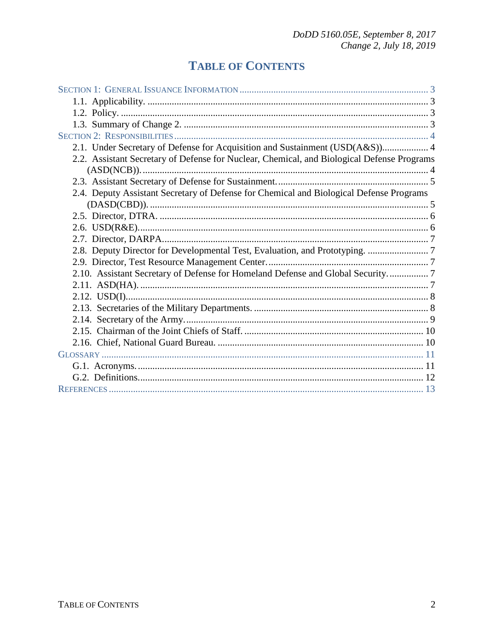## **TABLE OF CONTENTS**

| 2.1. Under Secretary of Defense for Acquisition and Sustainment (USD(A&S)) 4               |  |
|--------------------------------------------------------------------------------------------|--|
| 2.2. Assistant Secretary of Defense for Nuclear, Chemical, and Biological Defense Programs |  |
|                                                                                            |  |
| 2.4. Deputy Assistant Secretary of Defense for Chemical and Biological Defense Programs    |  |
|                                                                                            |  |
|                                                                                            |  |
|                                                                                            |  |
|                                                                                            |  |
|                                                                                            |  |
| 2.10. Assistant Secretary of Defense for Homeland Defense and Global Security 7            |  |
|                                                                                            |  |
|                                                                                            |  |
|                                                                                            |  |
|                                                                                            |  |
|                                                                                            |  |
|                                                                                            |  |
|                                                                                            |  |
|                                                                                            |  |
|                                                                                            |  |
|                                                                                            |  |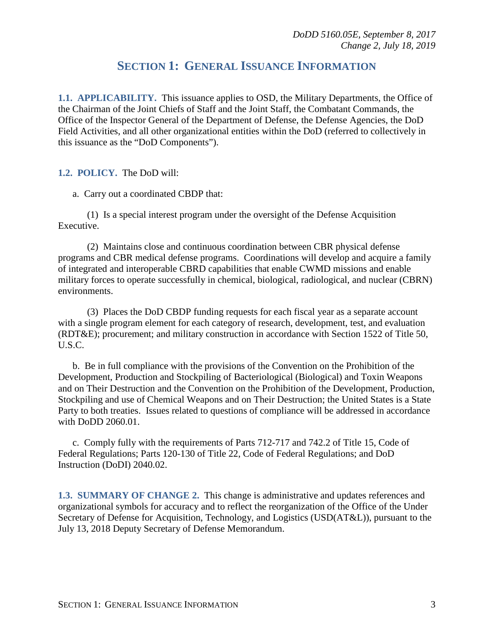## **SECTION 1: GENERAL ISSUANCE INFORMATION**

<span id="page-2-1"></span><span id="page-2-0"></span>**1.1. APPLICABILITY.** This issuance applies to OSD, the Military Departments, the Office of the Chairman of the Joint Chiefs of Staff and the Joint Staff, the Combatant Commands, the Office of the Inspector General of the Department of Defense, the Defense Agencies, the DoD Field Activities, and all other organizational entities within the DoD (referred to collectively in this issuance as the "DoD Components").

<span id="page-2-2"></span>**1.2. POLICY.** The DoD will:

a. Carry out a coordinated CBDP that:

(1) Is a special interest program under the oversight of the Defense Acquisition Executive.

(2) Maintains close and continuous coordination between CBR physical defense programs and CBR medical defense programs. Coordinations will develop and acquire a family of integrated and interoperable CBRD capabilities that enable CWMD missions and enable military forces to operate successfully in chemical, biological, radiological, and nuclear (CBRN) environments.

(3) Places the DoD CBDP funding requests for each fiscal year as a separate account with a single program element for each category of research, development, test, and evaluation (RDT&E); procurement; and military construction in accordance with Section 1522 of Title 50, U.S.C.

b. Be in full compliance with the provisions of the Convention on the Prohibition of the Development, Production and Stockpiling of Bacteriological (Biological) and Toxin Weapons and on Their Destruction and the Convention on the Prohibition of the Development, Production, Stockpiling and use of Chemical Weapons and on Their Destruction; the United States is a State Party to both treaties. Issues related to questions of compliance will be addressed in accordance with DoDD 2060.01.

c. Comply fully with the requirements of Parts 712-717 and 742.2 of Title 15, Code of Federal Regulations; Parts 120-130 of Title 22, Code of Federal Regulations; and DoD Instruction (DoDI) 2040.02.

<span id="page-2-3"></span>**1.3. SUMMARY OF CHANGE 2.** This change is administrative and updates references and organizational symbols for accuracy and to reflect the reorganization of the Office of the Under Secretary of Defense for Acquisition, Technology, and Logistics (USD(AT&L)), pursuant to the July 13, 2018 Deputy Secretary of Defense Memorandum.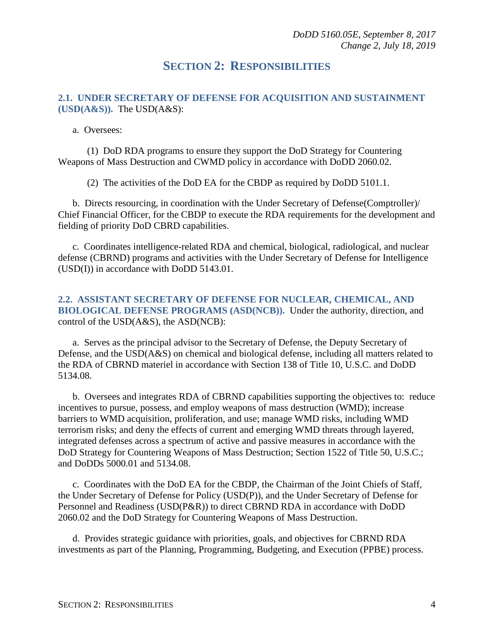## **SECTION 2: RESPONSIBILITIES**

#### <span id="page-3-1"></span><span id="page-3-0"></span>**2.1. UNDER SECRETARY OF DEFENSE FOR ACQUISITION AND SUSTAINMENT (USD(A&S)).** The USD(A&S):

a. Oversees:

(1) DoD RDA programs to ensure they support the DoD Strategy for Countering Weapons of Mass Destruction and CWMD policy in accordance with DoDD 2060.02.

(2) The activities of the DoD EA for the CBDP as required by DoDD 5101.1.

b. Directs resourcing, in coordination with the Under Secretary of Defense(Comptroller)/ Chief Financial Officer, for the CBDP to execute the RDA requirements for the development and fielding of priority DoD CBRD capabilities.

c. Coordinates intelligence-related RDA and chemical, biological, radiological, and nuclear defense (CBRND) programs and activities with the Under Secretary of Defense for Intelligence (USD(I)) in accordance with DoDD 5143.01.

#### <span id="page-3-2"></span>**2.2. ASSISTANT SECRETARY OF DEFENSE FOR NUCLEAR, CHEMICAL, AND BIOLOGICAL DEFENSE PROGRAMS (ASD(NCB)).** Under the authority, direction, and control of the USD(A&S), the ASD(NCB):

a. Serves as the principal advisor to the Secretary of Defense, the Deputy Secretary of Defense, and the USD(A&S) on chemical and biological defense, including all matters related to the RDA of CBRND materiel in accordance with Section 138 of Title 10, U.S.C. and DoDD 5134.08.

b. Oversees and integrates RDA of CBRND capabilities supporting the objectives to: reduce incentives to pursue, possess, and employ weapons of mass destruction (WMD); increase barriers to WMD acquisition, proliferation, and use; manage WMD risks, including WMD terrorism risks; and deny the effects of current and emerging WMD threats through layered, integrated defenses across a spectrum of active and passive measures in accordance with the DoD Strategy for Countering Weapons of Mass Destruction; Section 1522 of Title 50, U.S.C.; and DoDDs 5000.01 and 5134.08.

c. Coordinates with the DoD EA for the CBDP, the Chairman of the Joint Chiefs of Staff, the Under Secretary of Defense for Policy (USD(P)), and the Under Secretary of Defense for Personnel and Readiness (USD(P&R)) to direct CBRND RDA in accordance with DoDD 2060.02 and the DoD Strategy for Countering Weapons of Mass Destruction.

d. Provides strategic guidance with priorities, goals, and objectives for CBRND RDA investments as part of the Planning, Programming, Budgeting, and Execution (PPBE) process.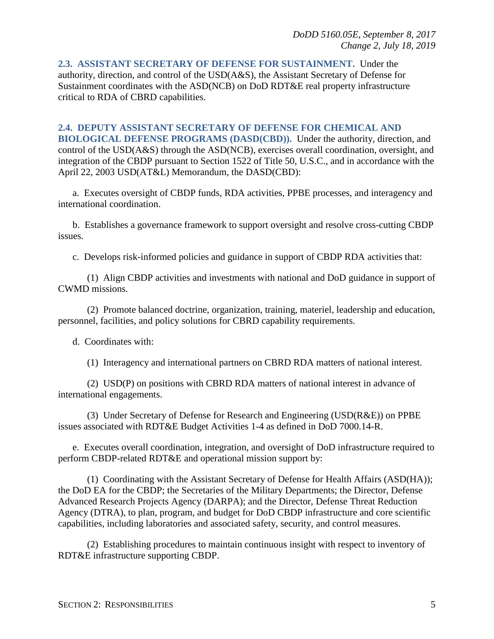<span id="page-4-0"></span>**2.3. ASSISTANT SECRETARY OF DEFENSE FOR SUSTAINMENT.** Under the authority, direction, and control of the USD(A&S), the Assistant Secretary of Defense for Sustainment coordinates with the ASD(NCB) on DoD RDT&E real property infrastructure critical to RDA of CBRD capabilities.

#### <span id="page-4-1"></span>**2.4. DEPUTY ASSISTANT SECRETARY OF DEFENSE FOR CHEMICAL AND**

**BIOLOGICAL DEFENSE PROGRAMS (DASD(CBD)).** Under the authority, direction, and control of the USD(A&S) through the ASD(NCB), exercises overall coordination, oversight, and integration of the CBDP pursuant to Section 1522 of Title 50, U.S.C., and in accordance with the April 22, 2003 USD(AT&L) Memorandum, the DASD(CBD):

a. Executes oversight of CBDP funds, RDA activities, PPBE processes, and interagency and international coordination.

b. Establishes a governance framework to support oversight and resolve cross-cutting CBDP issues.

c. Develops risk-informed policies and guidance in support of CBDP RDA activities that:

(1) Align CBDP activities and investments with national and DoD guidance in support of CWMD missions.

(2) Promote balanced doctrine, organization, training, materiel, leadership and education, personnel, facilities, and policy solutions for CBRD capability requirements.

d. Coordinates with:

(1) Interagency and international partners on CBRD RDA matters of national interest.

(2) USD(P) on positions with CBRD RDA matters of national interest in advance of international engagements.

(3) Under Secretary of Defense for Research and Engineering (USD(R&E)) on PPBE issues associated with RDT&E Budget Activities 1-4 as defined in DoD 7000.14-R.

e. Executes overall coordination, integration, and oversight of DoD infrastructure required to perform CBDP-related RDT&E and operational mission support by:

(1) Coordinating with the Assistant Secretary of Defense for Health Affairs (ASD(HA)); the DoD EA for the CBDP; the Secretaries of the Military Departments; the Director, Defense Advanced Research Projects Agency (DARPA); and the Director, Defense Threat Reduction Agency (DTRA), to plan, program, and budget for DoD CBDP infrastructure and core scientific capabilities, including laboratories and associated safety, security, and control measures.

(2) Establishing procedures to maintain continuous insight with respect to inventory of RDT&E infrastructure supporting CBDP.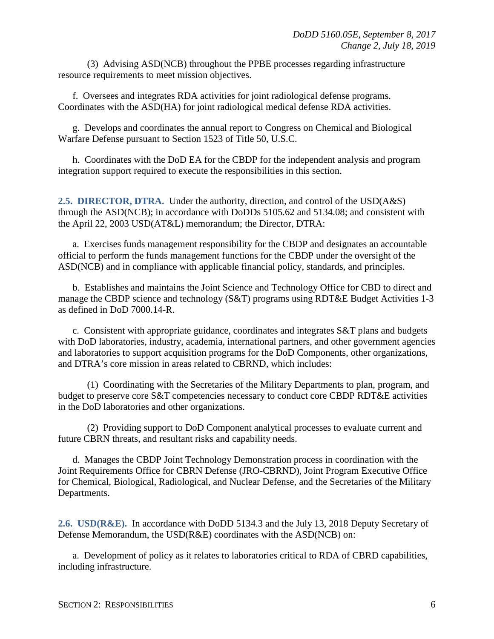(3) Advising ASD(NCB) throughout the PPBE processes regarding infrastructure resource requirements to meet mission objectives.

f. Oversees and integrates RDA activities for joint radiological defense programs. Coordinates with the ASD(HA) for joint radiological medical defense RDA activities.

g. Develops and coordinates the annual report to Congress on Chemical and Biological Warfare Defense pursuant to Section 1523 of Title 50, U.S.C.

h. Coordinates with the DoD EA for the CBDP for the independent analysis and program integration support required to execute the responsibilities in this section.

<span id="page-5-0"></span>**2.5. DIRECTOR, DTRA.** Under the authority, direction, and control of the USD(A&S) through the ASD(NCB); in accordance with DoDDs 5105.62 and 5134.08; and consistent with the April 22, 2003 USD(AT&L) memorandum; the Director, DTRA:

a. Exercises funds management responsibility for the CBDP and designates an accountable official to perform the funds management functions for the CBDP under the oversight of the ASD(NCB) and in compliance with applicable financial policy, standards, and principles.

b. Establishes and maintains the Joint Science and Technology Office for CBD to direct and manage the CBDP science and technology (S&T) programs using RDT&E Budget Activities 1-3 as defined in DoD 7000.14-R.

c. Consistent with appropriate guidance, coordinates and integrates S&T plans and budgets with DoD laboratories, industry, academia, international partners, and other government agencies and laboratories to support acquisition programs for the DoD Components, other organizations, and DTRA's core mission in areas related to CBRND, which includes:

(1) Coordinating with the Secretaries of the Military Departments to plan, program, and budget to preserve core S&T competencies necessary to conduct core CBDP RDT&E activities in the DoD laboratories and other organizations.

(2) Providing support to DoD Component analytical processes to evaluate current and future CBRN threats, and resultant risks and capability needs.

d. Manages the CBDP Joint Technology Demonstration process in coordination with the Joint Requirements Office for CBRN Defense (JRO-CBRND), Joint Program Executive Office for Chemical, Biological, Radiological, and Nuclear Defense, and the Secretaries of the Military Departments.

<span id="page-5-1"></span>**2.6. USD(R&E).** In accordance with DoDD 5134.3 and the July 13, 2018 Deputy Secretary of Defense Memorandum, the USD(R&E) coordinates with the ASD(NCB) on:

a. Development of policy as it relates to laboratories critical to RDA of CBRD capabilities, including infrastructure.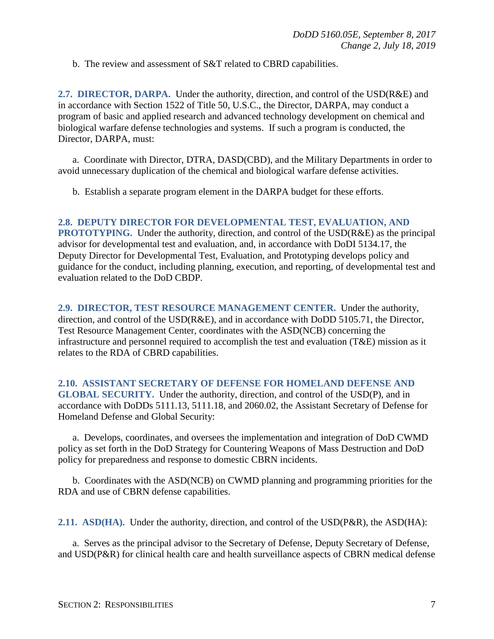b. The review and assessment of S&T related to CBRD capabilities.

<span id="page-6-0"></span>**2.7. DIRECTOR, DARPA.** Under the authority, direction, and control of the USD(R&E) and in accordance with Section 1522 of Title 50, U.S.C., the Director, DARPA, may conduct a program of basic and applied research and advanced technology development on chemical and biological warfare defense technologies and systems. If such a program is conducted, the Director, DARPA, must:

a. Coordinate with Director, DTRA, DASD(CBD), and the Military Departments in order to avoid unnecessary duplication of the chemical and biological warfare defense activities.

b. Establish a separate program element in the DARPA budget for these efforts.

#### <span id="page-6-1"></span>**2.8. DEPUTY DIRECTOR FOR DEVELOPMENTAL TEST, EVALUATION, AND**

**PROTOTYPING.** Under the authority, direction, and control of the USD(R&E) as the principal advisor for developmental test and evaluation, and, in accordance with DoDI 5134.17, the Deputy Director for Developmental Test, Evaluation, and Prototyping develops policy and guidance for the conduct, including planning, execution, and reporting, of developmental test and evaluation related to the DoD CBDP.

<span id="page-6-2"></span>**2.9. DIRECTOR, TEST RESOURCE MANAGEMENT CENTER.** Under the authority, direction, and control of the USD(R&E), and in accordance with DoDD 5105.71, the Director, Test Resource Management Center, coordinates with the ASD(NCB) concerning the infrastructure and personnel required to accomplish the test and evaluation (T&E) mission as it relates to the RDA of CBRD capabilities.

#### <span id="page-6-3"></span>**2.10. ASSISTANT SECRETARY OF DEFENSE FOR HOMELAND DEFENSE AND GLOBAL SECURITY.** Under the authority, direction, and control of the USD(P), and in accordance with DoDDs 5111.13, 5111.18, and 2060.02, the Assistant Secretary of Defense for Homeland Defense and Global Security:

a. Develops, coordinates, and oversees the implementation and integration of DoD CWMD policy as set forth in the DoD Strategy for Countering Weapons of Mass Destruction and DoD policy for preparedness and response to domestic CBRN incidents.

b. Coordinates with the ASD(NCB) on CWMD planning and programming priorities for the RDA and use of CBRN defense capabilities.

<span id="page-6-4"></span>**2.11. ASD(HA).** Under the authority, direction, and control of the USD(P&R), the ASD(HA):

a. Serves as the principal advisor to the Secretary of Defense, Deputy Secretary of Defense, and USD(P&R) for clinical health care and health surveillance aspects of CBRN medical defense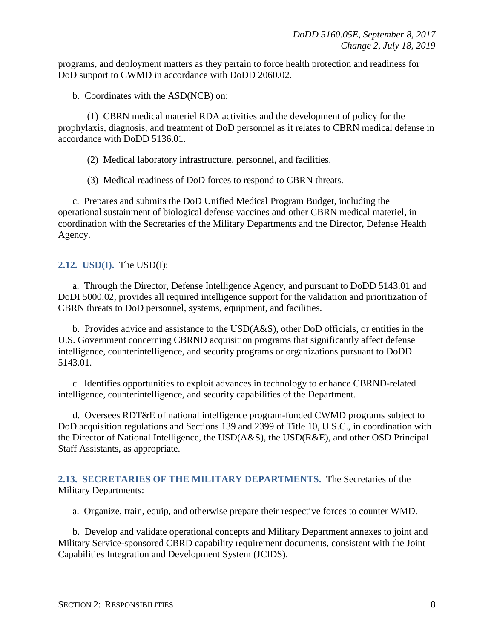programs, and deployment matters as they pertain to force health protection and readiness for DoD support to CWMD in accordance with DoDD 2060.02.

b. Coordinates with the ASD(NCB) on:

(1) CBRN medical materiel RDA activities and the development of policy for the prophylaxis, diagnosis, and treatment of DoD personnel as it relates to CBRN medical defense in accordance with DoDD 5136.01.

(2) Medical laboratory infrastructure, personnel, and facilities.

(3) Medical readiness of DoD forces to respond to CBRN threats.

c. Prepares and submits the DoD Unified Medical Program Budget, including the operational sustainment of biological defense vaccines and other CBRN medical materiel, in coordination with the Secretaries of the Military Departments and the Director, Defense Health Agency.

<span id="page-7-0"></span>**2.12. USD(I).** The USD(I):

a. Through the Director, Defense Intelligence Agency, and pursuant to DoDD 5143.01 and DoDI 5000.02, provides all required intelligence support for the validation and prioritization of CBRN threats to DoD personnel, systems, equipment, and facilities.

b. Provides advice and assistance to the USD(A&S), other DoD officials, or entities in the U.S. Government concerning CBRND acquisition programs that significantly affect defense intelligence, counterintelligence, and security programs or organizations pursuant to DoDD 5143.01.

c. Identifies opportunities to exploit advances in technology to enhance CBRND-related intelligence, counterintelligence, and security capabilities of the Department.

d. Oversees RDT&E of national intelligence program-funded CWMD programs subject to DoD acquisition regulations and Sections 139 and 2399 of Title 10, U.S.C., in coordination with the Director of National Intelligence, the USD(A&S), the USD(R&E), and other OSD Principal Staff Assistants, as appropriate.

<span id="page-7-1"></span>**2.13. SECRETARIES OF THE MILITARY DEPARTMENTS.** The Secretaries of the Military Departments:

a. Organize, train, equip, and otherwise prepare their respective forces to counter WMD.

b. Develop and validate operational concepts and Military Department annexes to joint and Military Service-sponsored CBRD capability requirement documents, consistent with the Joint Capabilities Integration and Development System (JCIDS).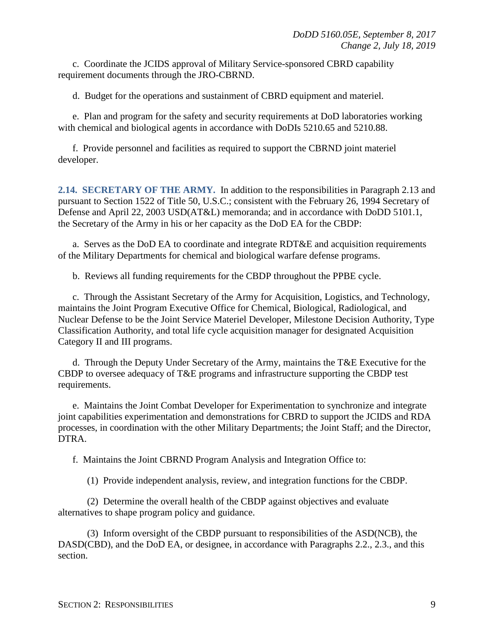c. Coordinate the JCIDS approval of Military Service-sponsored CBRD capability requirement documents through the JRO-CBRND.

d. Budget for the operations and sustainment of CBRD equipment and materiel.

e. Plan and program for the safety and security requirements at DoD laboratories working with chemical and biological agents in accordance with DoDIs 5210.65 and 5210.88.

f. Provide personnel and facilities as required to support the CBRND joint materiel developer.

<span id="page-8-0"></span>**2.14. SECRETARY OF THE ARMY.** In addition to the responsibilities in Paragraph 2.13 and pursuant to Section 1522 of Title 50, U.S.C.; consistent with the February 26, 1994 Secretary of Defense and April 22, 2003 USD(AT&L) memoranda; and in accordance with DoDD 5101.1, the Secretary of the Army in his or her capacity as the DoD EA for the CBDP:

a. Serves as the DoD EA to coordinate and integrate RDT&E and acquisition requirements of the Military Departments for chemical and biological warfare defense programs.

b. Reviews all funding requirements for the CBDP throughout the PPBE cycle.

c. Through the Assistant Secretary of the Army for Acquisition, Logistics, and Technology, maintains the Joint Program Executive Office for Chemical, Biological, Radiological, and Nuclear Defense to be the Joint Service Materiel Developer, Milestone Decision Authority, Type Classification Authority, and total life cycle acquisition manager for designated Acquisition Category II and III programs.

d. Through the Deputy Under Secretary of the Army, maintains the T&E Executive for the CBDP to oversee adequacy of T&E programs and infrastructure supporting the CBDP test requirements.

e. Maintains the Joint Combat Developer for Experimentation to synchronize and integrate joint capabilities experimentation and demonstrations for CBRD to support the JCIDS and RDA processes, in coordination with the other Military Departments; the Joint Staff; and the Director, DTRA.

f. Maintains the Joint CBRND Program Analysis and Integration Office to:

(1) Provide independent analysis, review, and integration functions for the CBDP.

(2) Determine the overall health of the CBDP against objectives and evaluate alternatives to shape program policy and guidance.

(3) Inform oversight of the CBDP pursuant to responsibilities of the ASD(NCB), the DASD(CBD), and the DoD EA, or designee, in accordance with Paragraphs 2.2., 2.3., and this section.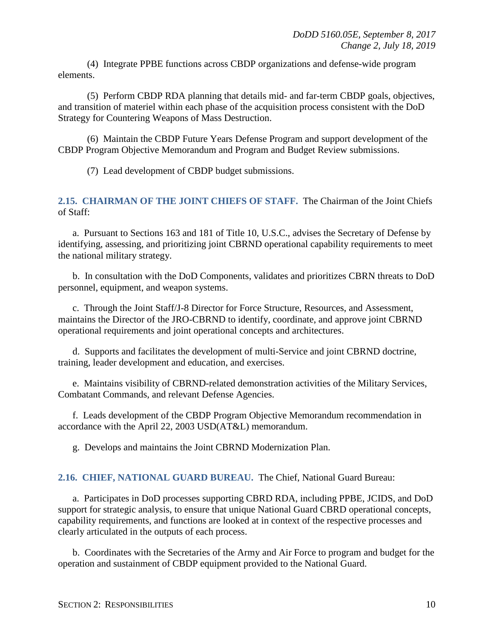(4) Integrate PPBE functions across CBDP organizations and defense-wide program elements.

(5) Perform CBDP RDA planning that details mid- and far-term CBDP goals, objectives, and transition of materiel within each phase of the acquisition process consistent with the DoD Strategy for Countering Weapons of Mass Destruction.

(6) Maintain the CBDP Future Years Defense Program and support development of the CBDP Program Objective Memorandum and Program and Budget Review submissions.

(7) Lead development of CBDP budget submissions.

#### <span id="page-9-0"></span>**2.15. CHAIRMAN OF THE JOINT CHIEFS OF STAFF.** The Chairman of the Joint Chiefs of Staff:

a. Pursuant to Sections 163 and 181 of Title 10, U.S.C., advises the Secretary of Defense by identifying, assessing, and prioritizing joint CBRND operational capability requirements to meet the national military strategy.

b. In consultation with the DoD Components, validates and prioritizes CBRN threats to DoD personnel, equipment, and weapon systems.

c. Through the Joint Staff/J-8 Director for Force Structure, Resources, and Assessment, maintains the Director of the JRO-CBRND to identify, coordinate, and approve joint CBRND operational requirements and joint operational concepts and architectures.

d. Supports and facilitates the development of multi-Service and joint CBRND doctrine, training, leader development and education, and exercises.

e. Maintains visibility of CBRND-related demonstration activities of the Military Services, Combatant Commands, and relevant Defense Agencies.

f. Leads development of the CBDP Program Objective Memorandum recommendation in accordance with the April 22, 2003 USD(AT&L) memorandum.

g. Develops and maintains the Joint CBRND Modernization Plan.

#### <span id="page-9-1"></span>**2.16. CHIEF, NATIONAL GUARD BUREAU.** The Chief, National Guard Bureau:

a. Participates in DoD processes supporting CBRD RDA, including PPBE, JCIDS, and DoD support for strategic analysis, to ensure that unique National Guard CBRD operational concepts, capability requirements, and functions are looked at in context of the respective processes and clearly articulated in the outputs of each process.

b. Coordinates with the Secretaries of the Army and Air Force to program and budget for the operation and sustainment of CBDP equipment provided to the National Guard.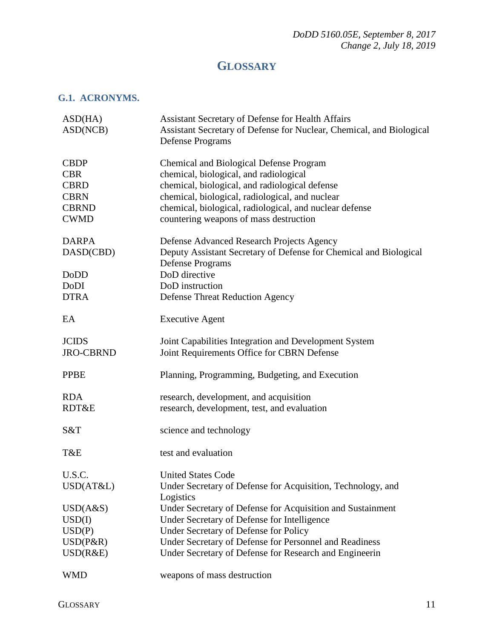## **GLOSSARY**

#### <span id="page-10-1"></span><span id="page-10-0"></span>**G.1. ACRONYMS.**

| ASD(HA)<br>ASD(NCB)                                                                    | <b>Assistant Secretary of Defense for Health Affairs</b><br>Assistant Secretary of Defense for Nuclear, Chemical, and Biological<br><b>Defense Programs</b>                                                                                                                                        |
|----------------------------------------------------------------------------------------|----------------------------------------------------------------------------------------------------------------------------------------------------------------------------------------------------------------------------------------------------------------------------------------------------|
| <b>CBDP</b><br><b>CBR</b><br><b>CBRD</b><br><b>CBRN</b><br><b>CBRND</b><br><b>CWMD</b> | <b>Chemical and Biological Defense Program</b><br>chemical, biological, and radiological<br>chemical, biological, and radiological defense<br>chemical, biological, radiological, and nuclear<br>chemical, biological, radiological, and nuclear defense<br>countering weapons of mass destruction |
| <b>DARPA</b><br>DASD(CBD)<br><b>DoDD</b><br>DoDI<br><b>DTRA</b>                        | Defense Advanced Research Projects Agency<br>Deputy Assistant Secretary of Defense for Chemical and Biological<br><b>Defense Programs</b><br>DoD directive<br>DoD instruction<br><b>Defense Threat Reduction Agency</b>                                                                            |
| EA                                                                                     | <b>Executive Agent</b>                                                                                                                                                                                                                                                                             |
| <b>JCIDS</b><br><b>JRO-CBRND</b>                                                       | Joint Capabilities Integration and Development System<br>Joint Requirements Office for CBRN Defense                                                                                                                                                                                                |
| <b>PPBE</b>                                                                            | Planning, Programming, Budgeting, and Execution                                                                                                                                                                                                                                                    |
| <b>RDA</b><br>RDT&E                                                                    | research, development, and acquisition<br>research, development, test, and evaluation                                                                                                                                                                                                              |
| S&T                                                                                    | science and technology                                                                                                                                                                                                                                                                             |
| T&E                                                                                    | test and evaluation                                                                                                                                                                                                                                                                                |
| U.S.C.<br>USD(AT&L)                                                                    | <b>United States Code</b><br>Under Secretary of Defense for Acquisition, Technology, and<br>Logistics                                                                                                                                                                                              |
| USD(A&S)<br>USD(I)<br>USD(P)<br>USD(P&R)<br>USD(R&E)                                   | Under Secretary of Defense for Acquisition and Sustainment<br>Under Secretary of Defense for Intelligence<br>Under Secretary of Defense for Policy<br>Under Secretary of Defense for Personnel and Readiness<br>Under Secretary of Defense for Research and Engineerin                             |
| <b>WMD</b>                                                                             | weapons of mass destruction                                                                                                                                                                                                                                                                        |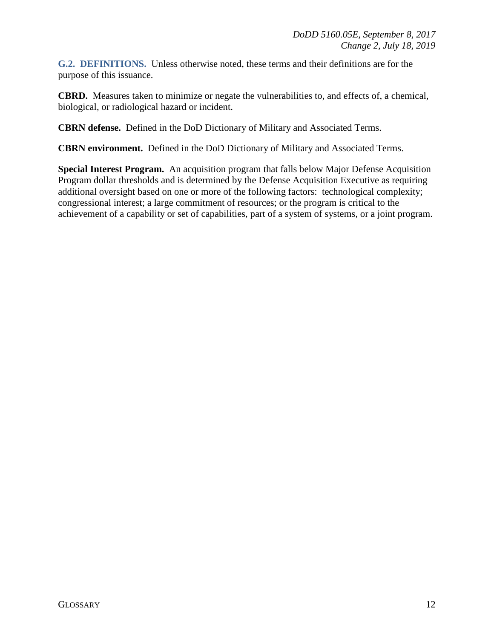<span id="page-11-0"></span>**G.2. DEFINITIONS.** Unless otherwise noted, these terms and their definitions are for the purpose of this issuance.

**CBRD.** Measures taken to minimize or negate the vulnerabilities to, and effects of, a chemical, biological, or radiological hazard or incident.

**CBRN defense.** Defined in the DoD Dictionary of Military and Associated Terms.

**CBRN environment.** Defined in the DoD Dictionary of Military and Associated Terms.

**Special Interest Program.** An acquisition program that falls below Major Defense Acquisition Program dollar thresholds and is determined by the Defense Acquisition Executive as requiring additional oversight based on one or more of the following factors: technological complexity; congressional interest; a large commitment of resources; or the program is critical to the achievement of a capability or set of capabilities, part of a system of systems, or a joint program.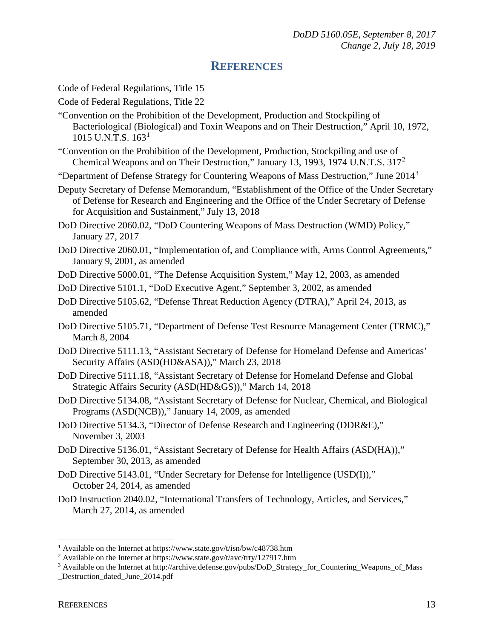#### **REFERENCES**

<span id="page-12-0"></span>Code of Federal Regulations, Title 15

Code of Federal Regulations, Title 22

- "Convention on the Prohibition of the Development, Production and Stockpiling of Bacteriological (Biological) and Toxin Weapons and on Their Destruction," April 10, 1972, [1](#page-12-1)015 U.N.T.S.  $163<sup>1</sup>$
- "Convention on the Prohibition of the Development, Production, Stockpiling and use of Chemical Weapons and on Their Destruction," January 13, 1993, 1974 U.N.T.S. 317[2](#page-12-2)

"Department of Defense Strategy for Countering Weapons of Mass Destruction," June 2014[3](#page-12-3)

Deputy Secretary of Defense Memorandum, "Establishment of the Office of the Under Secretary of Defense for Research and Engineering and the Office of the Under Secretary of Defense for Acquisition and Sustainment," July 13, 2018

DoD Directive 2060.02, "DoD Countering Weapons of Mass Destruction (WMD) Policy," January 27, 2017

DoD Directive 2060.01, "Implementation of, and Compliance with, Arms Control Agreements," January 9, 2001, as amended

DoD Directive 5000.01, "The Defense Acquisition System," May 12, 2003, as amended

- DoD Directive 5101.1, "DoD Executive Agent," September 3, 2002, as amended
- DoD Directive 5105.62, "Defense Threat Reduction Agency (DTRA)," April 24, 2013, as amended
- DoD Directive 5105.71, "Department of Defense Test Resource Management Center (TRMC)," March 8, 2004
- DoD Directive 5111.13, "Assistant Secretary of Defense for Homeland Defense and Americas' Security Affairs (ASD(HD&ASA))," March 23, 2018
- DoD Directive 5111.18, "Assistant Secretary of Defense for Homeland Defense and Global Strategic Affairs Security (ASD(HD&GS))," March 14, 2018
- DoD Directive 5134.08, "Assistant Secretary of Defense for Nuclear, Chemical, and Biological Programs (ASD(NCB))," January 14, 2009, as amended
- DoD Directive 5134.3, "Director of Defense Research and Engineering (DDR&E)," November 3, 2003
- DoD Directive 5136.01, "Assistant Secretary of Defense for Health Affairs (ASD(HA))," September 30, 2013, as amended
- DoD Directive 5143.01, "Under Secretary for Defense for Intelligence (USD(I))," October 24, 2014, as amended
- DoD Instruction 2040.02, "International Transfers of Technology, Articles, and Services," March 27, 2014, as amended

 $\overline{a}$ 

<span id="page-12-1"></span><sup>&</sup>lt;sup>1</sup> Available on the Internet at https://www.state.gov/t/isn/bw/c48738.htm

<span id="page-12-2"></span><sup>&</sup>lt;sup>2</sup> Available on the Internet at https://www.state.gov/t/avc/trty/127917.htm

<span id="page-12-3"></span><sup>&</sup>lt;sup>3</sup> Available on the Internet at http://archive.defense.gov/pubs/DoD\_Strategy\_for\_Countering\_Weapons\_of\_Mass

Destruction dated June 2014.pdf